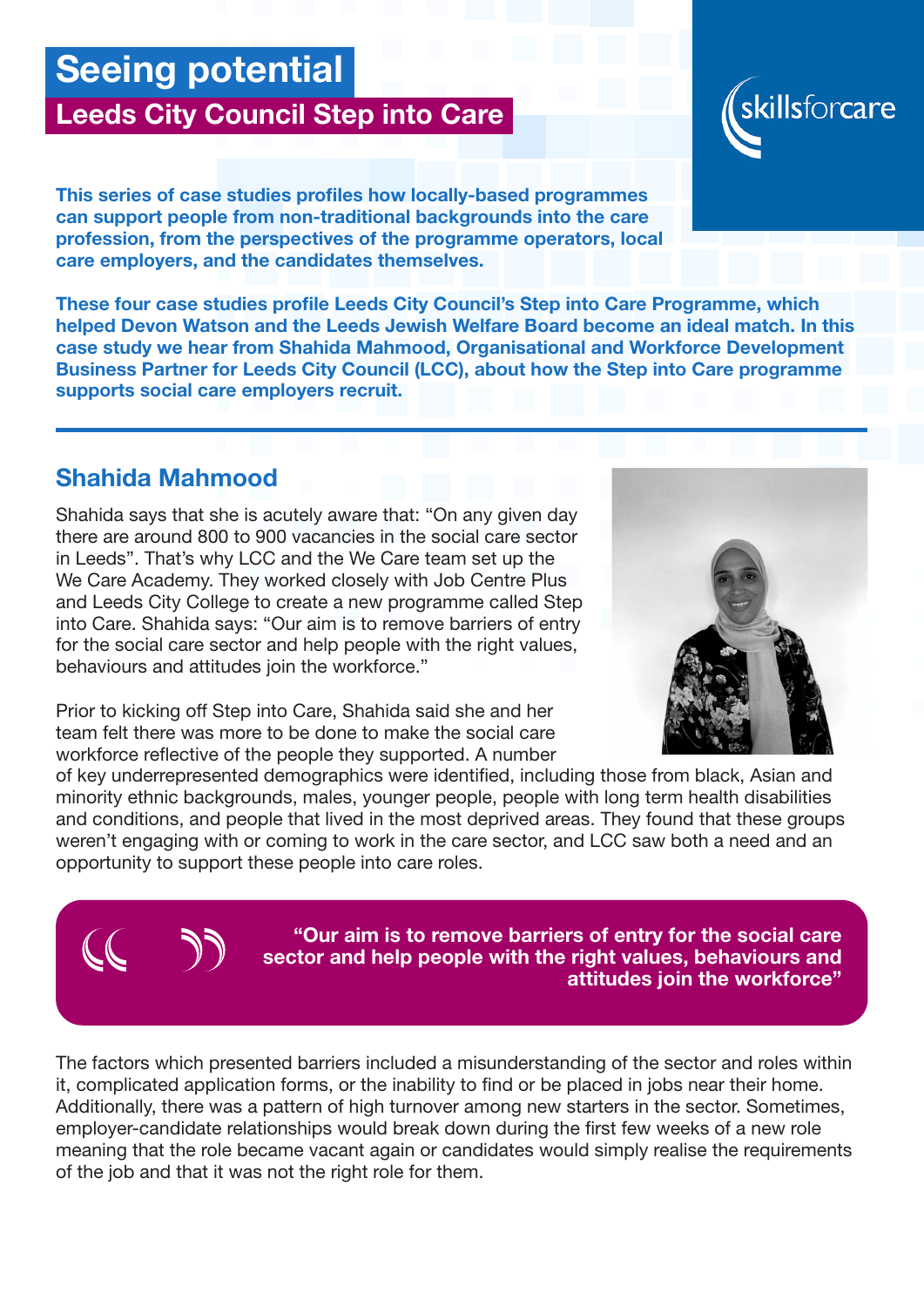# Seeing potential

## Leeds City Council Step into Care

This series of case studies profiles how locally-based programmes can support people from non-traditional backgrounds into the care profession, from the perspectives of the programme operators, local care employers, and the candidates themselves.

These four case studies profile Leeds City Council's Step into Care Programme, which helped Devon Watson and the Leeds Jewish Welfare Board become an ideal match. In this case study we hear from Shahida Mahmood, Organisational and Workforce Development Business Partner for Leeds City Council (LCC), about how the Step into Care programme supports social care employers recruit.

### Shahida Mahmood

Shahida says that she is acutely aware that: "On any given day there are around 800 to 900 vacancies in the social care sector in Leeds". That's why LCC and the We Care team set up the We Care Academy. They worked closely with Job Centre Plus and Leeds City College to create a new programme called Step into Care. Shahida says: "Our aim is to remove barriers of entry for the social care sector and help people with the right values, behaviours and attitudes join the workforce."

Prior to kicking off Step into Care, Shahida said she and her team felt there was more to be done to make the social care workforce reflective of the people they supported. A number

of key underrepresented demographics were identified, including those from black, Asian and minority ethnic backgrounds, males, younger people, people with long term health disabilities and conditions, and people that lived in the most deprived areas. They found that these groups weren't engaging with or coming to work in the care sector, and LCC saw both a need and an opportunity to support these people into care roles.

> "Our aim is to remove barriers of entry for the social care sector and help people with the right values, behaviours and attitudes join the workforce"

The factors which presented barriers included a misunderstanding of the sector and roles within it, complicated application forms, or the inability to find or be placed in jobs near their home. Additionally, there was a pattern of high turnover among new starters in the sector. Sometimes, employer-candidate relationships would break down during the first few weeks of a new role meaning that the role became vacant again or candidates would simply realise the requirements of the job and that it was not the right role for them.



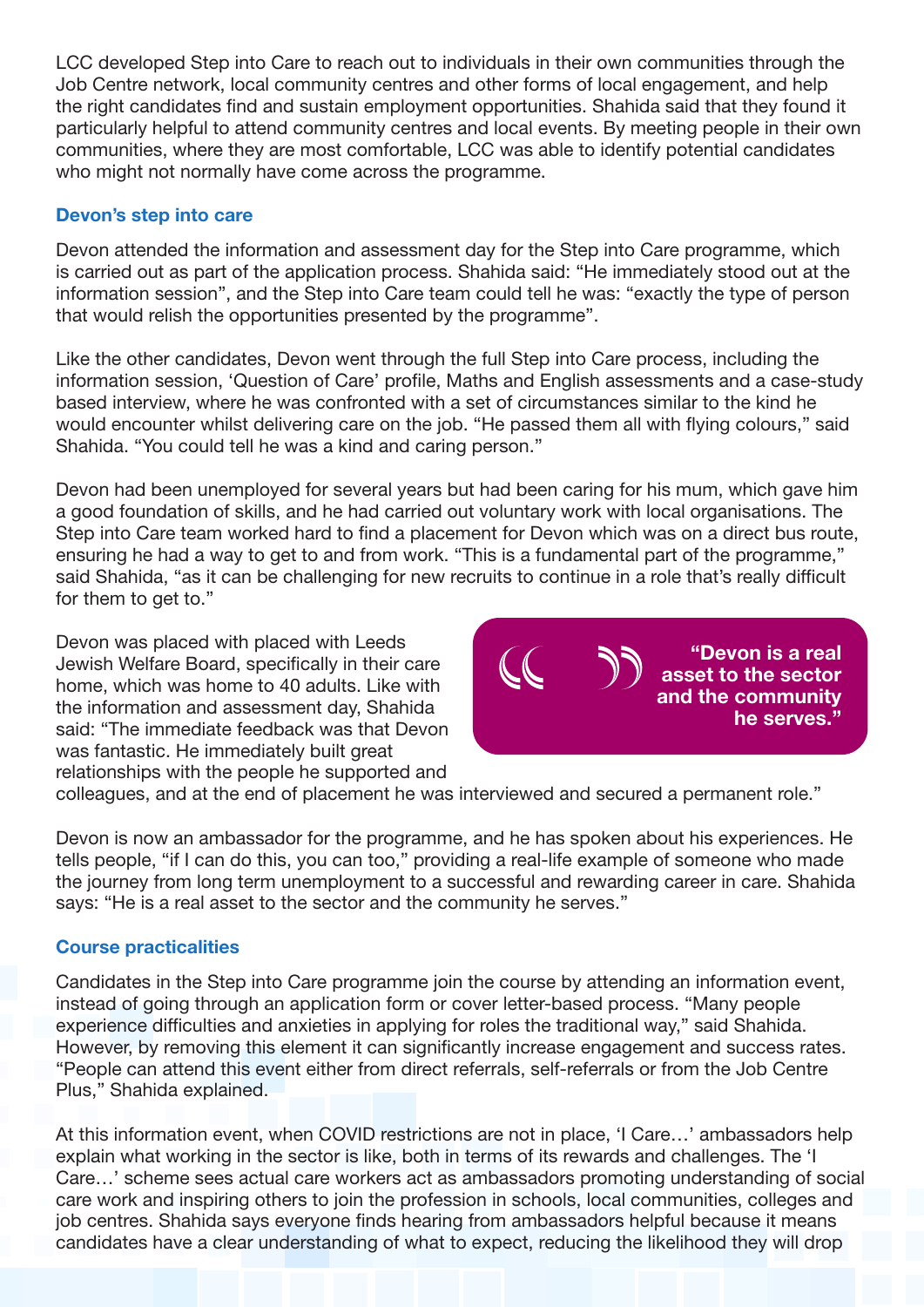LCC developed Step into Care to reach out to individuals in their own communities through the Job Centre network, local community centres and other forms of local engagement, and help the right candidates find and sustain employment opportunities. Shahida said that they found it particularly helpful to attend community centres and local events. By meeting people in their own communities, where they are most comfortable, LCC was able to identify potential candidates who might not normally have come across the programme.

#### Devon's step into care

Devon attended the information and assessment day for the Step into Care programme, which is carried out as part of the application process. Shahida said: "He immediately stood out at the information session", and the Step into Care team could tell he was: "exactly the type of person that would relish the opportunities presented by the programme".

Like the other candidates, Devon went through the full Step into Care process, including the information session, 'Question of Care' profile, Maths and English assessments and a case-study based interview, where he was confronted with a set of circumstances similar to the kind he would encounter whilst delivering care on the job. "He passed them all with flying colours," said Shahida. "You could tell he was a kind and caring person."

Devon had been unemployed for several years but had been caring for his mum, which gave him a good foundation of skills, and he had carried out voluntary work with local organisations. The Step into Care team worked hard to find a placement for Devon which was on a direct bus route, ensuring he had a way to get to and from work. "This is a fundamental part of the programme," said Shahida, "as it can be challenging for new recruits to continue in a role that's really difficult for them to get to."

Devon was placed with placed with Leeds Jewish Welfare Board, specifically in their care home, which was home to 40 adults. Like with the information and assessment day, Shahida said: "The immediate feedback was that Devon was fantastic. He immediately built great relationships with the people he supported and



colleagues, and at the end of placement he was interviewed and secured a permanent role."

Devon is now an ambassador for the programme, and he has spoken about his experiences. He tells people, "if I can do this, you can too," providing a real-life example of someone who made the journey from long term unemployment to a successful and rewarding career in care. Shahida says: "He is a real asset to the sector and the community he serves."

#### Course practicalities

Candidates in the Step into Care programme join the course by attending an information event, instead of going through an application form or cover letter-based process. "Many people experience difficulties and anxieties in applying for roles the traditional way," said Shahida. However, by removing this element it can significantly increase engagement and success rates. "People can attend this event either from direct referrals, self-referrals or from the Job Centre Plus," Shahida explained.

At this information event, when COVID restrictions are not in place, 'I Care…' ambassadors help explain what working in the sector is like, both in terms of its rewards and challenges. The 'I Care…' scheme sees actual care workers act as ambassadors promoting understanding of social care work and inspiring others to join the profession in schools, local communities, colleges and job centres. Shahida says everyone finds hearing from ambassadors helpful because it means candidates have a clear understanding of what to expect, reducing the likelihood they will drop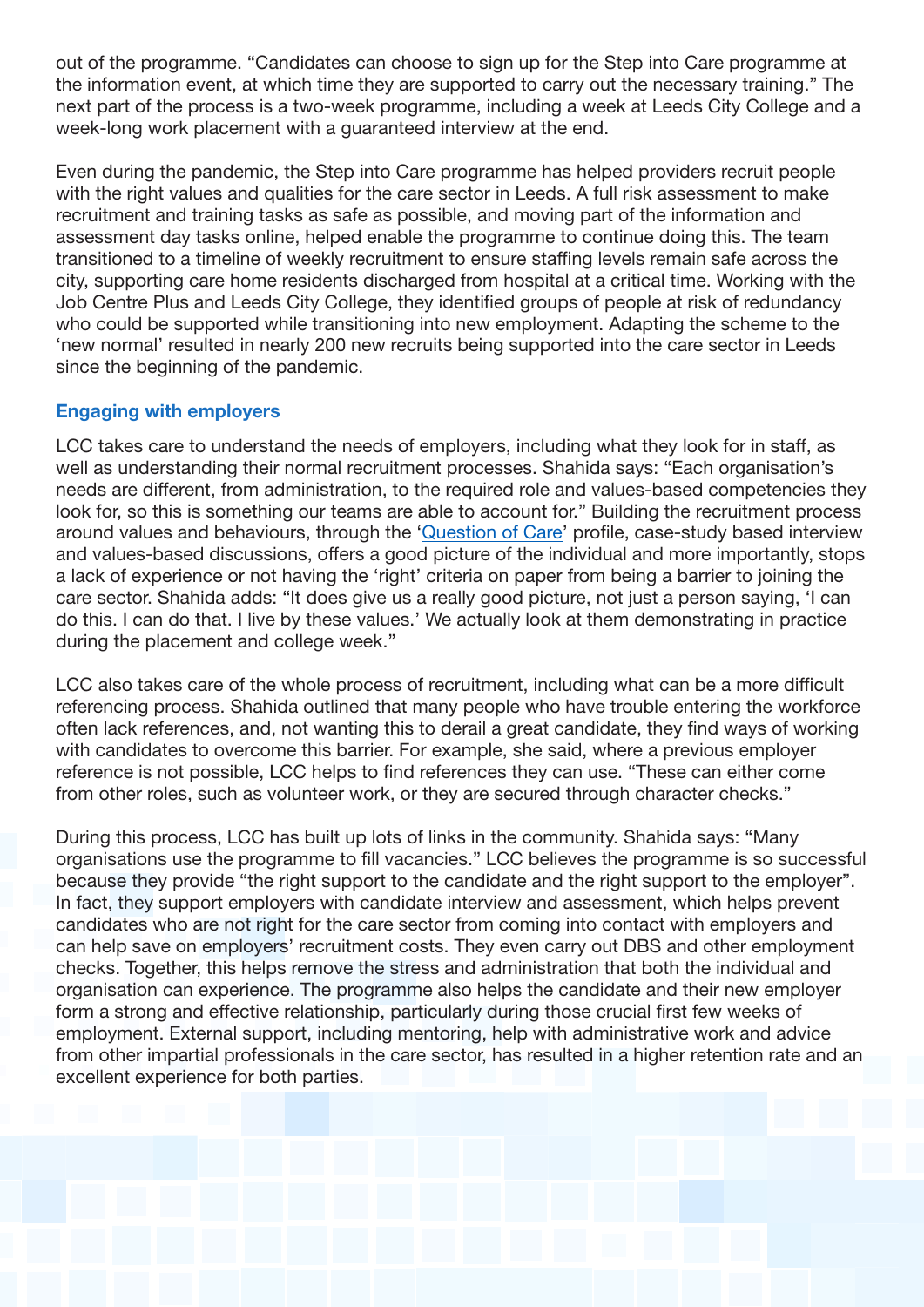out of the programme. "Candidates can choose to sign up for the Step into Care programme at the information event, at which time they are supported to carry out the necessary training." The next part of the process is a two-week programme, including a week at Leeds City College and a week-long work placement with a guaranteed interview at the end.

Even during the pandemic, the Step into Care programme has helped providers recruit people with the right values and qualities for the care sector in Leeds. A full risk assessment to make recruitment and training tasks as safe as possible, and moving part of the information and assessment day tasks online, helped enable the programme to continue doing this. The team transitioned to a timeline of weekly recruitment to ensure staffing levels remain safe across the city, supporting care home residents discharged from hospital at a critical time. Working with the Job Centre Plus and Leeds City College, they identified groups of people at risk of redundancy who could be supported while transitioning into new employment. Adapting the scheme to the 'new normal' resulted in nearly 200 new recruits being supported into the care sector in Leeds since the beginning of the pandemic.

#### Engaging with employers

LCC takes care to understand the needs of employers, including what they look for in staff, as well as understanding their normal recruitment processes. Shahida says: "Each organisation's needs are different, from administration, to the required role and values-based competencies they look for, so this is something our teams are able to account for." Building the recruitment process around values and behaviours, through the '[Question of Care'](https://www.aquestionofcare.org.uk/) profile, case-study based interview and values-based discussions, offers a good picture of the individual and more importantly, stops a lack of experience or not having the 'right' criteria on paper from being a barrier to joining the care sector. Shahida adds: "It does give us a really good picture, not just a person saying, 'I can do this. I can do that. I live by these values.' We actually look at them demonstrating in practice during the placement and college week."

LCC also takes care of the whole process of recruitment, including what can be a more difficult referencing process. Shahida outlined that many people who have trouble entering the workforce often lack references, and, not wanting this to derail a great candidate, they find ways of working with candidates to overcome this barrier. For example, she said, where a previous employer reference is not possible, LCC helps to find references they can use. "These can either come from other roles, such as volunteer work, or they are secured through character checks."

During this process, LCC has built up lots of links in the community. Shahida says: "Many organisations use the programme to fill vacancies." LCC believes the programme is so successful because they provide "the right support to the candidate and the right support to the employer". In fact, they support employers with candidate interview and assessment, which helps prevent candidates who are not right for the care sector from coming into contact with employers and can help save on employers' recruitment costs. They even carry out DBS and other employment checks. Together, this helps remove the stress and administration that both the individual and organisation can experience. The programme also helps the candidate and their new employer form a strong and effective relationship, particularly during those crucial first few weeks of employment. External support, including mentoring, help with administrative work and advice from other impartial professionals in the care sector, has resulted in a higher retention rate and an excellent experience for both parties.